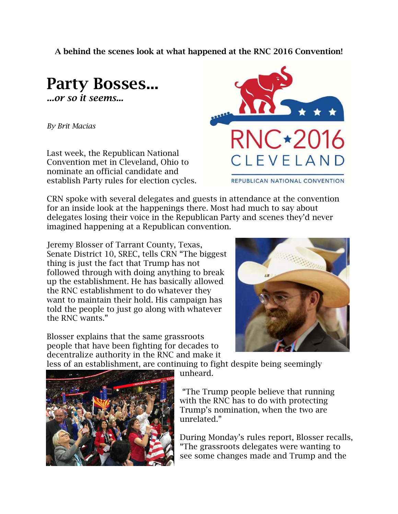**A behind the scenes look at what happened at the RNC 2016 Convention!**



*By Brit Macias*

Last week, the Republican National Convention met in Cleveland, Ohio to nominate an official candidate and establish Party rules for election cycles.



CRN spoke with several delegates and guests in attendance at the convention for an inside look at the happenings there. Most had much to say about delegates losing their voice in the Republican Party and scenes they'd never imagined happening at a Republican convention.

Jeremy Blosser of Tarrant County, Texas, Senate District 10, SREC, tells CRN "The biggest thing is just the fact that Trump has not followed through with doing anything to break up the establishment. He has basically allowed the RNC establishment to do whatever they want to maintain their hold. His campaign has told the people to just go along with whatever the RNC wants."

Blosser explains that the same grassroots people that have been fighting for decades to decentralize authority in the RNC and make it



less of an establishment, are continuing to fight despite being seemingly

unheard.

"The Trump people believe that running with the RNC has to do with protecting Trump's nomination, when the two are unrelated."

During Monday's rules report, Blosser recalls, "The grassroots delegates were wanting to see some changes made and Trump and the

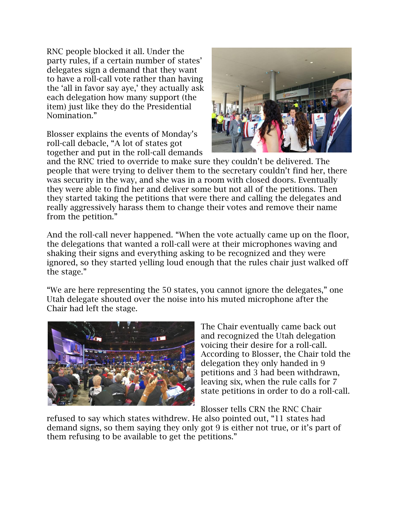RNC people blocked it all. Under the party rules, if a certain number of states' delegates sign a demand that they want to have a roll-call vote rather than having the 'all in favor say aye,' they actually ask each delegation how many support (the item) just like they do the Presidential Nomination."

Blosser explains the events of Monday's roll-call debacle, "A lot of states got together and put in the roll-call demands



and the RNC tried to override to make sure they couldn't be delivered. The people that were trying to deliver them to the secretary couldn't find her, there was security in the way, and she was in a room with closed doors. Eventually they were able to find her and deliver some but not all of the petitions. Then they started taking the petitions that were there and calling the delegates and really aggressively harass them to change their votes and remove their name from the petition."

And the roll-call never happened. "When the vote actually came up on the floor, the delegations that wanted a roll-call were at their microphones waving and shaking their signs and everything asking to be recognized and they were ignored, so they started yelling loud enough that the rules chair just walked off the stage."

"We are here representing the 50 states, you cannot ignore the delegates," one Utah delegate shouted over the noise into his muted microphone after the Chair had left the stage.



The Chair eventually came back out and recognized the Utah delegation voicing their desire for a roll-call. According to Blosser, the Chair told the delegation they only handed in 9 petitions and 3 had been withdrawn, leaving six, when the rule calls for 7 state petitions in order to do a roll-call.

Blosser tells CRN the RNC Chair

refused to say which states withdrew. He also pointed out, "11 states had demand signs, so them saying they only got 9 is either not true, or it's part of them refusing to be available to get the petitions."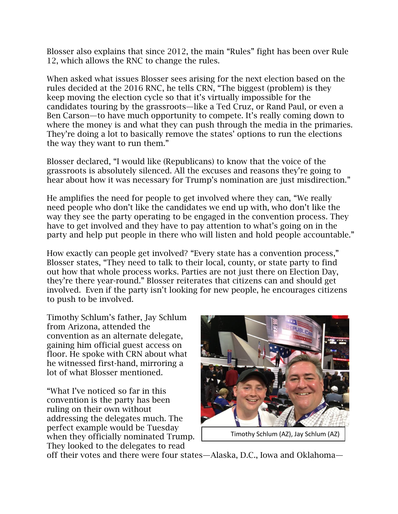Blosser also explains that since 2012, the main "Rules" fight has been over Rule 12, which allows the RNC to change the rules.

When asked what issues Blosser sees arising for the next election based on the rules decided at the 2016 RNC, he tells CRN, "The biggest (problem) is they keep moving the election cycle so that it's virtually impossible for the candidates touring by the grassroots—like a Ted Cruz, or Rand Paul, or even a Ben Carson—to have much opportunity to compete. It's really coming down to where the money is and what they can push through the media in the primaries. They're doing a lot to basically remove the states' options to run the elections the way they want to run them."

Blosser declared, "I would like (Republicans) to know that the voice of the grassroots is absolutely silenced. All the excuses and reasons they're going to hear about how it was necessary for Trump's nomination are just misdirection."

He amplifies the need for people to get involved where they can, "We really need people who don't like the candidates we end up with, who don't like the way they see the party operating to be engaged in the convention process. They have to get involved and they have to pay attention to what's going on in the party and help put people in there who will listen and hold people accountable."

How exactly can people get involved? "Every state has a convention process," Blosser states, "They need to talk to their local, county, or state party to find out how that whole process works. Parties are not just there on Election Day, they're there year-round." Blosser reiterates that citizens can and should get involved. Even if the party isn't looking for new people, he encourages citizens to push to be involved.

Timothy Schlum's father, Jay Schlum from Arizona, attended the convention as an alternate delegate, gaining him official guest access on floor. He spoke with CRN about what he witnessed first-hand, mirroring a lot of what Blosser mentioned.

"What I've noticed so far in this convention is the party has been ruling on their own without addressing the delegates much. The perfect example would be Tuesday when they officially nominated Trump. They looked to the delegates to read



Timothy Schlum (AZ), Jay Schlum (AZ)

off their votes and there were four states—Alaska, D.C., Iowa and Oklahoma—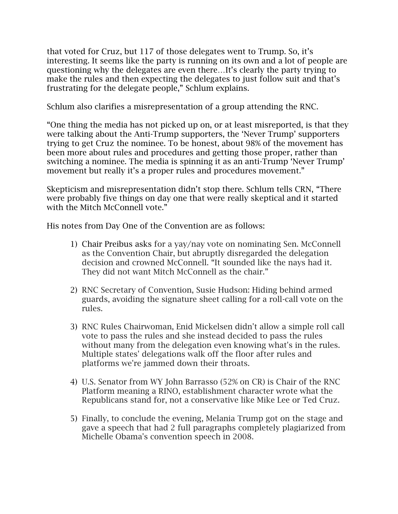that voted for Cruz, but 117 of those delegates went to Trump. So, it's interesting. It seems like the party is running on its own and a lot of people are questioning why the delegates are even there…It's clearly the party trying to make the rules and then expecting the delegates to just follow suit and that's frustrating for the delegate people," Schlum explains.

Schlum also clarifies a misrepresentation of a group attending the RNC.

"One thing the media has not picked up on, or at least misreported, is that they were talking about the Anti-Trump supporters, the 'Never Trump' supporters trying to get Cruz the nominee. To be honest, about 98% of the movement has been more about rules and procedures and getting those proper, rather than switching a nominee. The media is spinning it as an anti-Trump 'Never Trump' movement but really it's a proper rules and procedures movement."

Skepticism and misrepresentation didn't stop there. Schlum tells CRN, "There were probably five things on day one that were really skeptical and it started with the Mitch McConnell vote."

His notes from Day One of the Convention are as follows:

- 1) Chair Preibus asks for a yay/nay vote on nominating Sen. McConnell as the Convention Chair, but abruptly disregarded the delegation decision and crowned McConnell. "It sounded like the nays had it. They did not want Mitch McConnell as the chair."
- 2) RNC Secretary of Convention, Susie Hudson: Hiding behind armed guards, avoiding the signature sheet calling for a roll-call vote on the rules.
- 3) RNC Rules Chairwoman, Enid Mickelsen didn't allow a simple roll call vote to pass the rules and she instead decided to pass the rules without many from the delegation even knowing what's in the rules. Multiple states' delegations walk off the floor after rules and platforms we're jammed down their throats.
- 4) U.S. Senator from WY John Barrasso (52% on CR) is Chair of the RNC Platform meaning a RINO, establishment character wrote what the Republicans stand for, not a conservative like Mike Lee or Ted Cruz.
- 5) Finally, to conclude the evening, Melania Trump got on the stage and gave a speech that had 2 full paragraphs completely plagiarized from Michelle Obama's convention speech in 2008.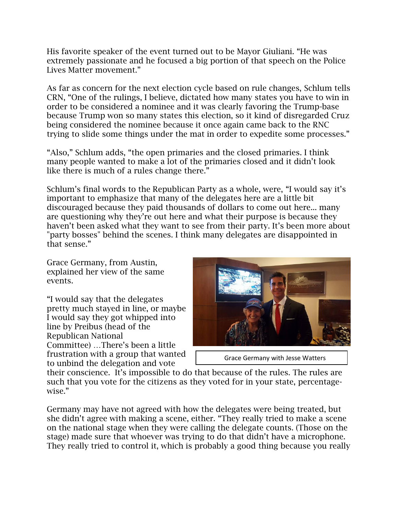His favorite speaker of the event turned out to be Mayor Giuliani. "He was extremely passionate and he focused a big portion of that speech on the Police Lives Matter movement."

As far as concern for the next election cycle based on rule changes, Schlum tells CRN, "One of the rulings, I believe, dictated how many states you have to win in order to be considered a nominee and it was clearly favoring the Trump-base because Trump won so many states this election, so it kind of disregarded Cruz being considered the nominee because it once again came back to the RNC trying to slide some things under the mat in order to expedite some processes."

"Also," Schlum adds, "the open primaries and the closed primaries. I think many people wanted to make a lot of the primaries closed and it didn't look like there is much of a rules change there."

Schlum's final words to the Republican Party as a whole, were, "I would say it's important to emphasize that many of the delegates here are a little bit discouraged because they paid thousands of dollars to come out here... many are questioning why they're out here and what their purpose is because they haven't been asked what they want to see from their party. It's been more about "party bosses" behind the scenes. I think many delegates are disappointed in that sense."

Grace Germany, from Austin, explained her view of the same events.

"I would say that the delegates pretty much stayed in line, or maybe I would say they got whipped into line by Preibus (head of the Republican National Committee) …There's been a little frustration with a group that wanted to unbind the delegation and vote



```
Grace Germany with Jesse Watters
```
their conscience. It's impossible to do that because of the rules. The rules are such that you vote for the citizens as they voted for in your state, percentagewise."

Germany may have not agreed with how the delegates were being treated, but she didn't agree with making a scene, either. "They really tried to make a scene on the national stage when they were calling the delegate counts. (Those on the stage) made sure that whoever was trying to do that didn't have a microphone. They really tried to control it, which is probably a good thing because you really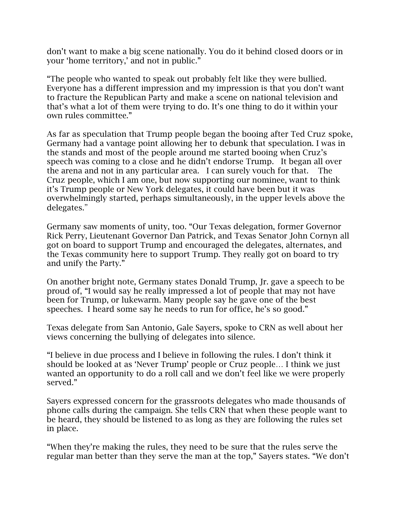don't want to make a big scene nationally. You do it behind closed doors or in your 'home territory,' and not in public."

"The people who wanted to speak out probably felt like they were bullied. Everyone has a different impression and my impression is that you don't want to fracture the Republican Party and make a scene on national television and that's what a lot of them were trying to do. It's one thing to do it within your own rules committee."

As far as speculation that Trump people began the booing after Ted Cruz spoke, Germany had a vantage point allowing her to debunk that speculation. I was in the stands and most of the people around me started booing when Cruz's speech was coming to a close and he didn't endorse Trump. It began all over the arena and not in any particular area. I can surely vouch for that. The Cruz people, which I am one, but now supporting our nominee, want to think it's Trump people or New York delegates, it could have been but it was overwhelmingly started, perhaps simultaneously, in the upper levels above the delegates."

Germany saw moments of unity, too. "Our Texas delegation, former Governor Rick Perry, Lieutenant Governor Dan Patrick, and Texas Senator John Cornyn all got on board to support Trump and encouraged the delegates, alternates, and the Texas community here to support Trump. They really got on board to try and unify the Party."

On another bright note, Germany states Donald Trump, Jr. gave a speech to be proud of, "I would say he really impressed a lot of people that may not have been for Trump, or lukewarm. Many people say he gave one of the best speeches. I heard some say he needs to run for office, he's so good."

Texas delegate from San Antonio, Gale Sayers, spoke to CRN as well about her views concerning the bullying of delegates into silence.

"I believe in due process and I believe in following the rules. I don't think it should be looked at as 'Never Trump' people or Cruz people… I think we just wanted an opportunity to do a roll call and we don't feel like we were properly served."

Sayers expressed concern for the grassroots delegates who made thousands of phone calls during the campaign. She tells CRN that when these people want to be heard, they should be listened to as long as they are following the rules set in place.

"When they're making the rules, they need to be sure that the rules serve the regular man better than they serve the man at the top," Sayers states. "We don't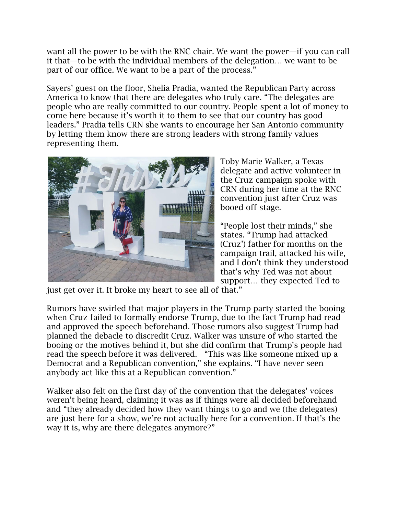want all the power to be with the RNC chair. We want the power—if you can call it that—to be with the individual members of the delegation… we want to be part of our office. We want to be a part of the process."

Sayers' guest on the floor, Shelia Pradia, wanted the Republican Party across America to know that there are delegates who truly care. "The delegates are people who are really committed to our country. People spent a lot of money to come here because it's worth it to them to see that our country has good leaders." Pradia tells CRN she wants to encourage her San Antonio community by letting them know there are strong leaders with strong family values representing them.



Toby Marie Walker, a Texas delegate and active volunteer in the Cruz campaign spoke with CRN during her time at the RNC convention just after Cruz was booed off stage.

"People lost their minds," she states. "Trump had attacked (Cruz') father for months on the campaign trail, attacked his wife, and I don't think they understood that's why Ted was not about support… they expected Ted to

just get over it. It broke my heart to see all of that."

Rumors have swirled that major players in the Trump party started the booing when Cruz failed to formally endorse Trump, due to the fact Trump had read and approved the speech beforehand. Those rumors also suggest Trump had planned the debacle to discredit Cruz. Walker was unsure of who started the booing or the motives behind it, but she did confirm that Trump's people had read the speech before it was delivered. "This was like someone mixed up a Democrat and a Republican convention," she explains. "I have never seen anybody act like this at a Republican convention."

Walker also felt on the first day of the convention that the delegates' voices weren't being heard, claiming it was as if things were all decided beforehand and "they already decided how they want things to go and we (the delegates) are just here for a show, we're not actually here for a convention. If that's the way it is, why are there delegates anymore?"